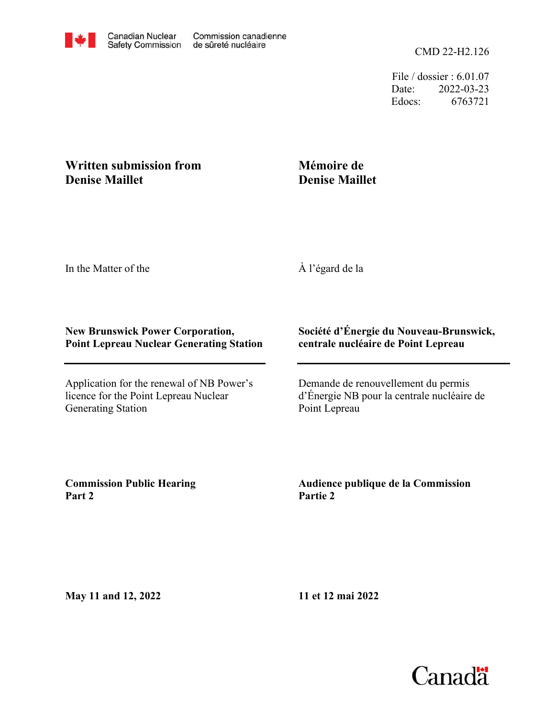File / dossier : 6.01.07 Date: 2022-03-23 Edocs: 6763721

## **Written submission from Denise Maillet**

## **Mémoire de Denise Maillet**

In the Matter of the

À l'égard de la

## **New Brunswick Power Corporation, Point Lepreau Nuclear Generating Station**

Application for the renewal of NB Power's licence for the Point Lepreau Nuclear Generating Station

## **Société d'Énergie du Nouveau-Brunswick, centrale nucléaire de Point Lepreau**

Demande de renouvellement du permis d'Énergie NB pour la centrale nucléaire de Point Lepreau

**Commission Public Hearing Part 2**

**Audience publique de la Commission Partie 2**

**May 11 and 12, 2022**

**11 et 12 mai 2022**